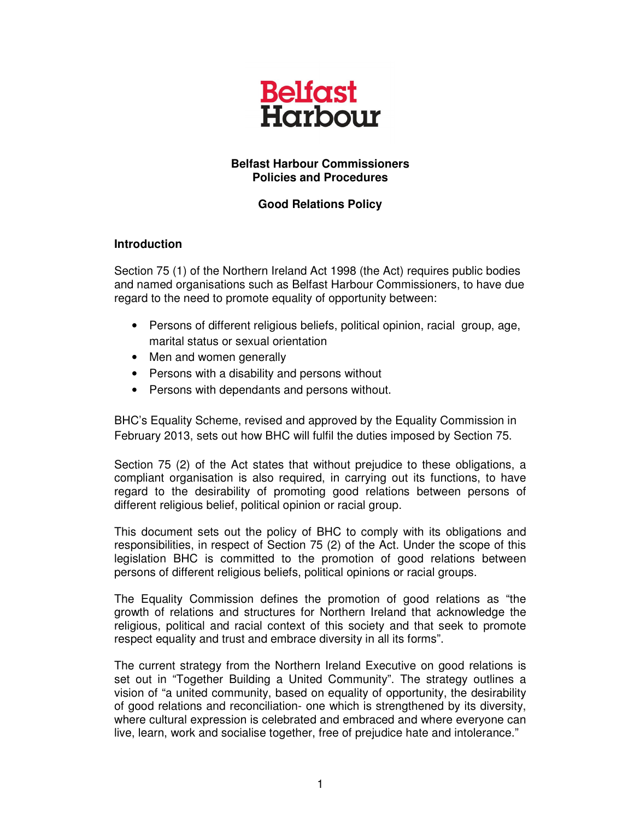

## **Belfast Harbour Commissioners Policies and Procedures**

# **Good Relations Policy**

#### **Introduction**

Section 75 (1) of the Northern Ireland Act 1998 (the Act) requires public bodies and named organisations such as Belfast Harbour Commissioners, to have due regard to the need to promote equality of opportunity between:

- Persons of different religious beliefs, political opinion, racial group, age, marital status or sexual orientation
- Men and women generally
- Persons with a disability and persons without
- Persons with dependants and persons without.

BHC's Equality Scheme, revised and approved by the Equality Commission in February 2013, sets out how BHC will fulfil the duties imposed by Section 75.

Section 75 (2) of the Act states that without prejudice to these obligations, a compliant organisation is also required, in carrying out its functions, to have regard to the desirability of promoting good relations between persons of different religious belief, political opinion or racial group.

This document sets out the policy of BHC to comply with its obligations and responsibilities, in respect of Section 75 (2) of the Act. Under the scope of this legislation BHC is committed to the promotion of good relations between persons of different religious beliefs, political opinions or racial groups.

The Equality Commission defines the promotion of good relations as "the growth of relations and structures for Northern Ireland that acknowledge the religious, political and racial context of this society and that seek to promote respect equality and trust and embrace diversity in all its forms".

The current strategy from the Northern Ireland Executive on good relations is set out in "Together Building a United Community". The strategy outlines a vision of "a united community, based on equality of opportunity, the desirability of good relations and reconciliation- one which is strengthened by its diversity, where cultural expression is celebrated and embraced and where everyone can live, learn, work and socialise together, free of prejudice hate and intolerance."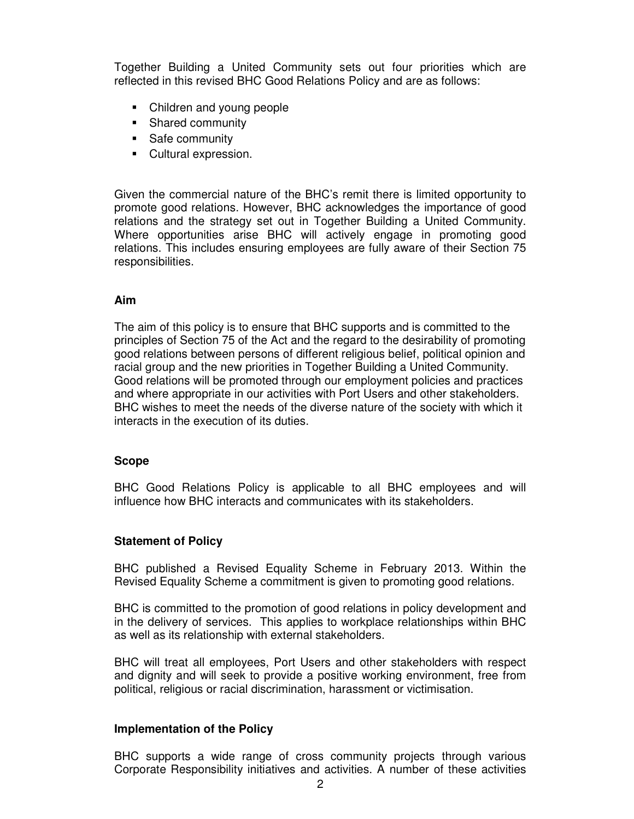Together Building a United Community sets out four priorities which are reflected in this revised BHC Good Relations Policy and are as follows:

- Children and young people
- **Shared community**
- **Safe community**
- Cultural expression.

Given the commercial nature of the BHC's remit there is limited opportunity to promote good relations. However, BHC acknowledges the importance of good relations and the strategy set out in Together Building a United Community. Where opportunities arise BHC will actively engage in promoting good relations. This includes ensuring employees are fully aware of their Section 75 responsibilities.

## **Aim**

The aim of this policy is to ensure that BHC supports and is committed to the principles of Section 75 of the Act and the regard to the desirability of promoting good relations between persons of different religious belief, political opinion and racial group and the new priorities in Together Building a United Community. Good relations will be promoted through our employment policies and practices and where appropriate in our activities with Port Users and other stakeholders. BHC wishes to meet the needs of the diverse nature of the society with which it interacts in the execution of its duties.

#### **Scope**

BHC Good Relations Policy is applicable to all BHC employees and will influence how BHC interacts and communicates with its stakeholders.

## **Statement of Policy**

BHC published a Revised Equality Scheme in February 2013. Within the Revised Equality Scheme a commitment is given to promoting good relations.

BHC is committed to the promotion of good relations in policy development and in the delivery of services. This applies to workplace relationships within BHC as well as its relationship with external stakeholders.

BHC will treat all employees, Port Users and other stakeholders with respect and dignity and will seek to provide a positive working environment, free from political, religious or racial discrimination, harassment or victimisation.

#### **Implementation of the Policy**

BHC supports a wide range of cross community projects through various Corporate Responsibility initiatives and activities. A number of these activities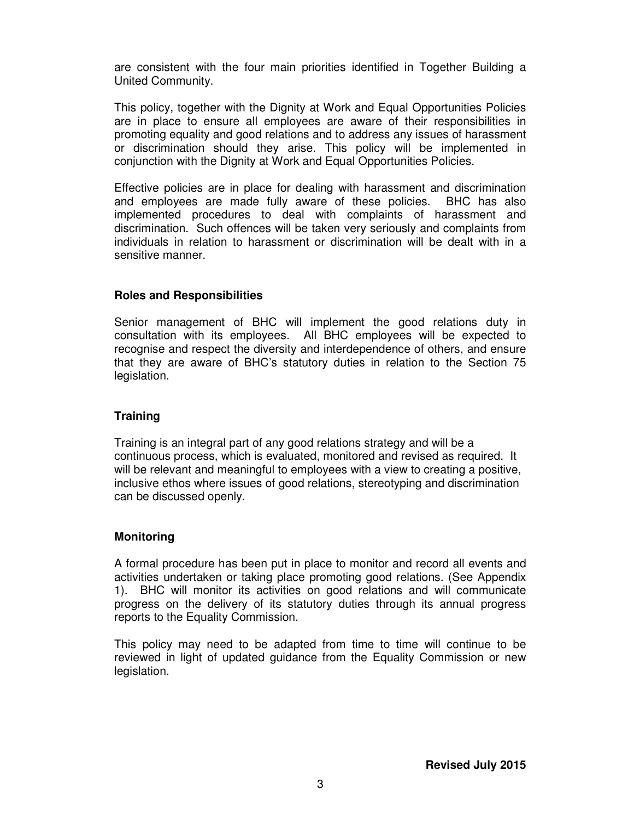are consistent with the four main priorities identified in Together Building a United Community.

This policy, together with the Dignity at Work and Equal Opportunities Policies are in place to ensure all employees are aware of their responsibilities in promoting equality and good relations and to address any issues of harassment or discrimination should they arise. This policy will be implemented in conjunction with the Dignity at Work and Equal Opportunities Policies.

Effective policies are in place for dealing with harassment and discrimination and employees are made fully aware of these policies. BHC has also implemented procedures to deal with complaints of harassment and discrimination. Such offences will be taken very seriously and complaints from individuals in relation to harassment or discrimination will be dealt with in a sensitive manner.

## **Roles and Responsibilities**

Senior management of BHC will implement the good relations duty in consultation with its employees. All BHC employees will be expected to recognise and respect the diversity and interdependence of others, and ensure that they are aware of BHC's statutory duties in relation to the Section 75 legislation.

## **Training**

Training is an integral part of any good relations strategy and will be a continuous process, which is evaluated, monitored and revised as required. It will be relevant and meaningful to employees with a view to creating a positive, inclusive ethos where issues of good relations, stereotyping and discrimination can be discussed openly.

## **Monitoring**

A formal procedure has been put in place to monitor and record all events and activities undertaken or taking place promoting good relations. (See Appendix 1). BHC will monitor its activities on good relations and will communicate progress on the delivery of its statutory duties through its annual progress reports to the Equality Commission.

This policy may need to be adapted from time to time will continue to be reviewed in light of updated guidance from the Equality Commission or new legislation.